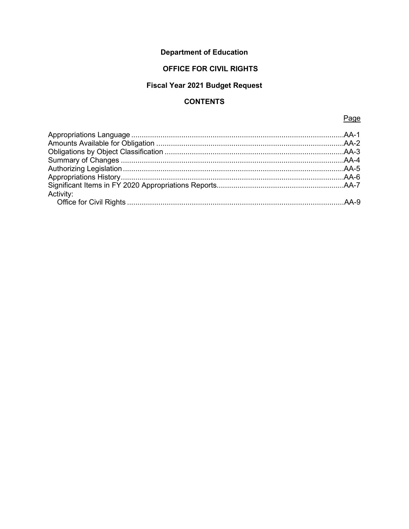# **Department of Education**

# OFFICE FOR CIVIL RIGHTS

# **Fiscal Year 2021 Budget Request**

## **CONTENTS**

Page

| Activity: |  |
|-----------|--|
|           |  |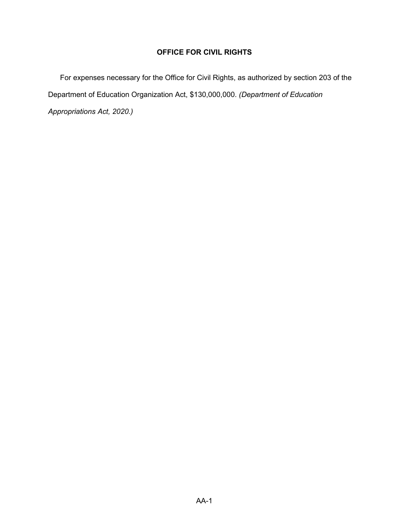<span id="page-2-0"></span>For expenses necessary for the Office for Civil Rights, as authorized by section 203 of the Department of Education Organization Act, \$130,000,000. *(Department of Education Appropriations Act, 2020.)*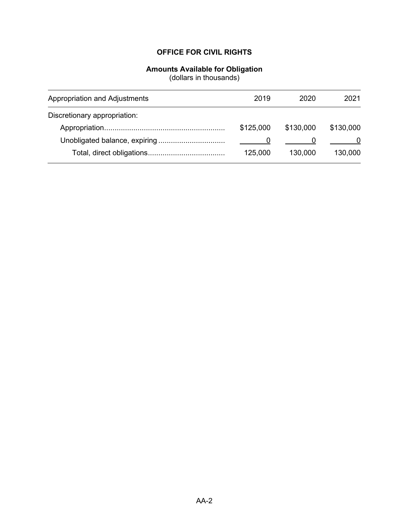#### **Amounts Available for Obligation**

<span id="page-3-0"></span>

| 2019      | 2020      | 2021      |
|-----------|-----------|-----------|
|           |           |           |
| \$125,000 | \$130,000 | \$130,000 |
|           |           |           |
| 125,000   | 130,000   | 130,000   |
|           |           |           |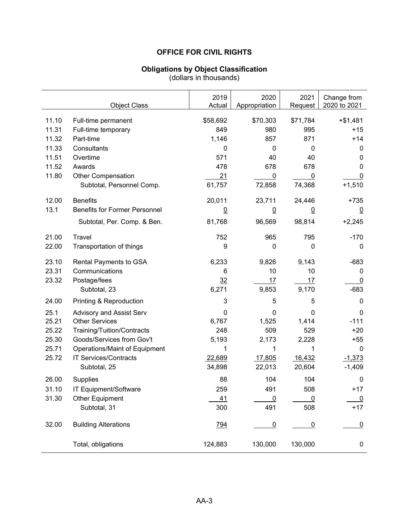#### **Obligations by Object Classification**

<span id="page-4-0"></span>

|       | <b>Object Class</b>                        | 2019<br>Actual  | 2020<br>Appropriation | 2021<br>Request | Change from<br>2020 to 2021 |
|-------|--------------------------------------------|-----------------|-----------------------|-----------------|-----------------------------|
| 11.10 |                                            |                 |                       |                 |                             |
| 11.31 | Full-time permanent<br>Full-time temporary | \$58,692<br>849 | \$70,303<br>980       | \$71,784<br>995 | $+ $1,481$<br>$+15$         |
| 11.32 | Part-time                                  | 1,146           | 857                   | 871             | $+14$                       |
| 11.33 | Consultants                                | 0               | 0                     | 0               | 0                           |
| 11.51 | Overtime                                   | 571             | 40                    | 40              | 0                           |
| 11.52 | Awards                                     | 478             | 678                   | 678             | 0                           |
| 11.80 | <b>Other Compensation</b>                  | 21              | 0                     | 0               | 0                           |
|       | Subtotal, Personnel Comp.                  | 61,757          | 72,858                | 74,368          | $+1,510$                    |
| 12.00 | <b>Benefits</b>                            | 20,011          | 23,711                | 24,446          | $+735$                      |
| 13.1  | <b>Benefits for Former Personnel</b>       | $\overline{0}$  | $\underline{0}$       | $\overline{0}$  | $\overline{0}$              |
|       | Subtotal, Per. Comp. & Ben.                | 81,768          | 96,569                | 98,814          | $+2,245$                    |
| 21.00 | Travel                                     | 752             | 965                   | 795             | $-170$                      |
| 22.00 | Transportation of things                   | 9               | 0                     | 0               | 0                           |
| 23.10 | Rental Payments to GSA                     | 6,233           | 9,826                 | 9,143           | $-683$                      |
| 23.31 | Communications                             | 6               | 10                    | 10              | 0                           |
| 23.32 | Postage/fees                               | 32              | 17                    | 17              | 0                           |
|       | Subtotal, 23                               | 6,271           | 9,853                 | 9,170           | $-683$                      |
| 24.00 | Printing & Reproduction                    | 3               | 5                     | 5               | 0                           |
| 25.1  | Advisory and Assist Serv                   | 0               | 0                     | 0               | 0                           |
| 25.21 | <b>Other Services</b>                      | 6,767           | 1,525                 | 1,414           | $-111$                      |
| 25.22 | Training/Tuition/Contracts                 | 248             | 509                   | 529             | $+20$                       |
| 25.30 | Goods/Services from Gov't                  | 5,193           | 2,173                 | 2,228           | $+55$                       |
| 25.71 | Operations/Maint of Equipment              | 1               | 1                     | 1               | 0                           |
| 25.72 | <b>IT Services/Contracts</b>               | 22,689          | 17,805                | 16,432          | $-1,373$                    |
|       | Subtotal, 25                               | 34,898          | 22,013                | 20,604          | $-1,409$                    |
| 26.00 | Supplies                                   | 88              | 104                   | 104             | 0                           |
| 31.10 | IT Equipment/Software                      | 259             | 491                   | 508             | +17                         |
| 31.30 | <b>Other Equipment</b>                     | 41              | 0                     | 0               | $\overline{0}$              |
|       | Subtotal, 31                               | 300             | 491                   | 508             | $+17$                       |
| 32.00 | <b>Building Alterations</b>                | <u>794</u>      | $\overline{0}$        | $\overline{0}$  | $\overline{0}$              |
|       | Total, obligations                         | 124,883         | 130,000               | 130,000         | 0                           |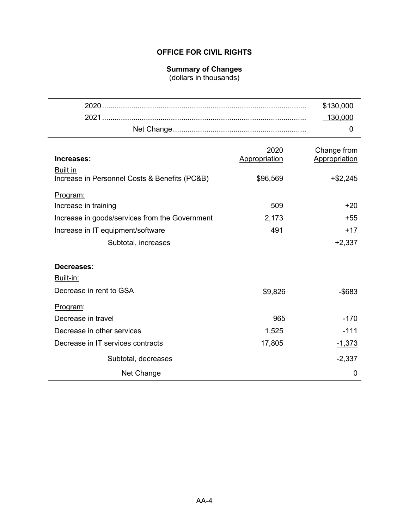### **Summary of Changes**

<span id="page-5-0"></span>

|                                                |               | \$130,000     |
|------------------------------------------------|---------------|---------------|
|                                                |               | 130,000       |
|                                                |               | 0             |
|                                                | 2020          | Change from   |
| Increases:                                     | Appropriation | Appropriation |
| <b>Built in</b>                                |               |               |
| Increase in Personnel Costs & Benefits (PC&B)  | \$96,569      | $+ $2,245$    |
| Program:                                       |               |               |
| Increase in training                           | 509           | $+20$         |
| Increase in goods/services from the Government | 2,173         | $+55$         |
| Increase in IT equipment/software              | 491           | $+17$         |
| Subtotal, increases                            |               | $+2,337$      |
| Decreases:                                     |               |               |
| Built-in:                                      |               |               |
| Decrease in rent to GSA                        | \$9,826       | -\$683        |
| Program:                                       |               |               |
| Decrease in travel                             | 965           | $-170$        |
| Decrease in other services                     | 1,525         | $-111$        |
| Decrease in IT services contracts              | 17,805        | $-1,373$      |
| Subtotal, decreases                            |               | $-2,337$      |
| Net Change                                     |               | 0             |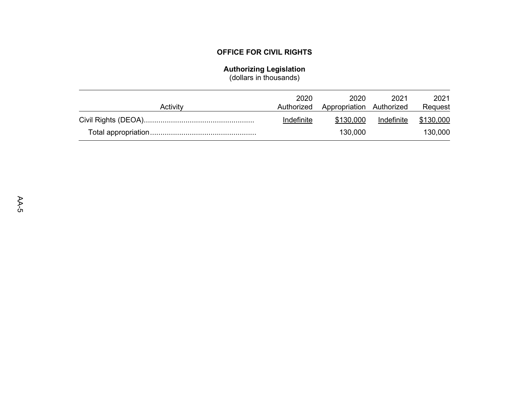#### **Authorizing Legislation**

<span id="page-6-0"></span>

| Activity | 2020<br>Authorized | 2020<br>Appropriation Authorized | 2021       | 2021<br>Request  |
|----------|--------------------|----------------------------------|------------|------------------|
|          | Indefinite         | \$130,000                        | Indefinite | <u>\$130,000</u> |
|          |                    | 130,000                          |            | 130,000          |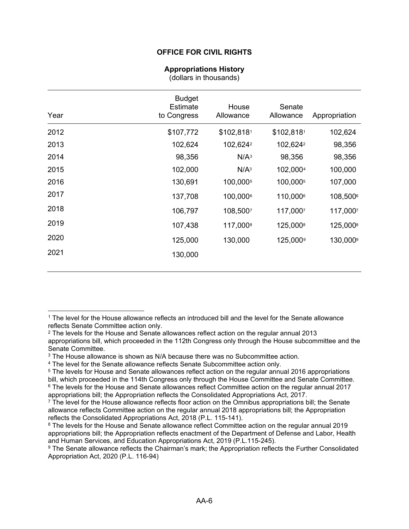#### <span id="page-7-8"></span><span id="page-7-7"></span><span id="page-7-6"></span><span id="page-7-5"></span><span id="page-7-4"></span><span id="page-7-3"></span><span id="page-7-2"></span><span id="page-7-1"></span>**Appropriations History**

<span id="page-7-0"></span>

| Year | <b>Budget</b><br>Estimate<br>to Congress | House<br>Allowance   | Senate<br>Allowance  | Appropriation        |
|------|------------------------------------------|----------------------|----------------------|----------------------|
| 2012 | \$107,772                                | \$102,8181           | \$102,8181           | 102,624              |
| 2013 | 102,624                                  | 102,6242             | 102,6242             | 98,356               |
| 2014 | 98,356                                   | N/A <sup>3</sup>     | 98,356               | 98,356               |
| 2015 | 102,000                                  | N/A <sup>3</sup>     | 102,0004             | 100,000              |
| 2016 | 130,691                                  | 100,0005             | 100,0005             | 107,000              |
| 2017 | 137,708                                  | 100,0006             | 110,0006             | 108,5006             |
| 2018 | 106,797                                  | 108,5007             | 117,0007             | 117,0007             |
| 2019 | 107,438                                  | 117,000 <sup>8</sup> | 125,000 <sup>8</sup> | 125,000 <sup>8</sup> |
| 2020 | 125,000                                  | 130,000              | 125,000 <sup>9</sup> | 130,000 <sup>9</sup> |
| 2021 | 130,000                                  |                      |                      |                      |

<span id="page-7-9"></span><sup>1</sup> The level for the House allowance reflects an introduced bill and the level for the Senate allowance reflects Senate Committee action only.

<span id="page-7-10"></span><sup>2</sup> The levels for the House and Senate allowances reflect action on the regular annual 2013 appropriations bill, which proceeded in the 112th Congress only through the House subcommittee and the Senate Committee.

<span id="page-7-11"></span><sup>&</sup>lt;sup>3</sup> The House allowance is shown as N/A because there was no Subcommittee action.

<span id="page-7-12"></span><sup>4</sup> The level for the Senate allowance reflects Senate Subcommittee action only.

<span id="page-7-13"></span><sup>&</sup>lt;sup>5</sup> The levels for House and Senate allowances reflect action on the regular annual 2016 appropriations

bill, which proceeded in the 114th Congress only through the House Committee and Senate Committee. <sup>6</sup> The levels for the House and Senate allowances reflect Committee action on the regular annual 2017

<span id="page-7-14"></span>appropriations bill; the Appropriation reflects the Consolidated Appropriations Act, 2017.

<span id="page-7-15"></span> $7$  The level for the House allowance reflects floor action on the Omnibus appropriations bill; the Senate allowance reflects Committee action on the regular annual 2018 appropriations bill; the Appropriation reflects the Consolidated Appropriations Act, 2018 (P.L. 115-141).

<span id="page-7-16"></span><sup>&</sup>lt;sup>8</sup> The levels for the House and Senate allowance reflect Committee action on the regular annual 2019 appropriations bill; the Appropriation reflects enactment of the Department of Defense and Labor, Health and Human Services, and Education Appropriations Act, 2019 (P.L.115-245).

<span id="page-7-17"></span><sup>9</sup> The Senate allowance reflects the Chairman's mark; the Appropriation reflects the Further Consolidated Appropriation Act, 2020 (P.L. 116-94)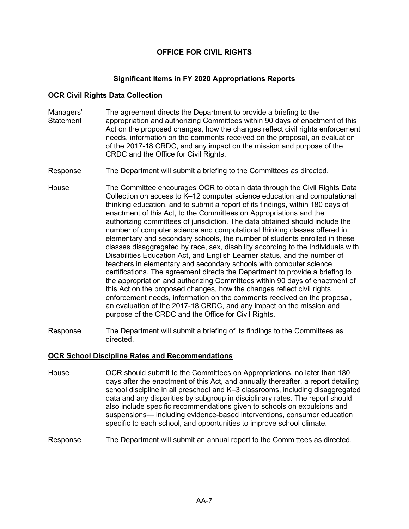### **Significant Items in FY 2020 Appropriations Reports**

#### <span id="page-8-0"></span>**OCR Civil Rights Data Collection**

- Managers' **Statement** The agreement directs the Department to provide a briefing to the appropriation and authorizing Committees within 90 days of enactment of this Act on the proposed changes, how the changes reflect civil rights enforcement needs, information on the comments received on the proposal, an evaluation of the 2017-18 CRDC, and any impact on the mission and purpose of the CRDC and the Office for Civil Rights.
- Response The Department will submit a briefing to the Committees as directed.
- House The Committee encourages OCR to obtain data through the Civil Rights Data Collection on access to K–12 computer science education and computational thinking education, and to submit a report of its findings, within 180 days of enactment of this Act, to the Committees on Appropriations and the authorizing committees of jurisdiction. The data obtained should include the number of computer science and computational thinking classes offered in elementary and secondary schools, the number of students enrolled in these classes disaggregated by race, sex, disability according to the Individuals with Disabilities Education Act, and English Learner status, and the number of teachers in elementary and secondary schools with computer science certifications. The agreement directs the Department to provide a briefing to the appropriation and authorizing Committees within 90 days of enactment of this Act on the proposed changes, how the changes reflect civil rights enforcement needs, information on the comments received on the proposal, an evaluation of the 2017-18 CRDC, and any impact on the mission and purpose of the CRDC and the Office for Civil Rights.
- Response The Department will submit a briefing of its findings to the Committees as directed.

#### **OCR School Discipline Rates and Recommendations**

- House OCR should submit to the Committees on Appropriations, no later than 180 days after the enactment of this Act, and annually thereafter, a report detailing school discipline in all preschool and K–3 classrooms, including disaggregated data and any disparities by subgroup in disciplinary rates. The report should also include specific recommendations given to schools on expulsions and suspensions— including evidence-based interventions, consumer education specific to each school, and opportunities to improve school climate.
- Response The Department will submit an annual report to the Committees as directed.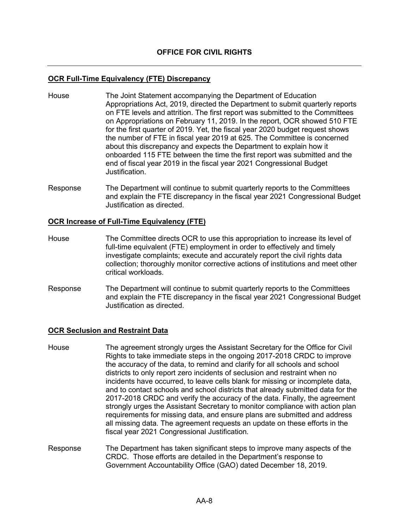#### **OCR Full-Time Equivalency (FTE) Discrepancy**

- House The Joint Statement accompanying the Department of Education Appropriations Act, 2019, directed the Department to submit quarterly reports on FTE levels and attrition. The first report was submitted to the Committees on Appropriations on February 11, 2019. In the report, OCR showed 510 FTE for the first quarter of 2019. Yet, the fiscal year 2020 budget request shows the number of FTE in fiscal year 2019 at 625. The Committee is concerned about this discrepancy and expects the Department to explain how it onboarded 115 FTE between the time the first report was submitted and the end of fiscal year 2019 in the fiscal year 2021 Congressional Budget Justification.
- Response The Department will continue to submit quarterly reports to the Committees and explain the FTE discrepancy in the fiscal year 2021 Congressional Budget Justification as directed.

#### **OCR Increase of Full-Time Equivalency (FTE)**

- House The Committee directs OCR to use this appropriation to increase its level of full-time equivalent (FTE) employment in order to effectively and timely investigate complaints; execute and accurately report the civil rights data collection; thoroughly monitor corrective actions of institutions and meet other critical workloads.
- Response The Department will continue to submit quarterly reports to the Committees and explain the FTE discrepancy in the fiscal year 2021 Congressional Budget Justification as directed.

#### **OCR Seclusion and Restraint Data**

- House The agreement strongly urges the Assistant Secretary for the Office for Civil Rights to take immediate steps in the ongoing 2017-2018 CRDC to improve the accuracy of the data, to remind and clarify for all schools and school districts to only report zero incidents of seclusion and restraint when no incidents have occurred, to leave cells blank for missing or incomplete data, and to contact schools and school districts that already submitted data for the 2017-2018 CRDC and verify the accuracy of the data. Finally, the agreement strongly urges the Assistant Secretary to monitor compliance with action plan requirements for missing data, and ensure plans are submitted and address all missing data. The agreement requests an update on these efforts in the fiscal year 2021 Congressional Justification.
- Response The Department has taken significant steps to improve many aspects of the CRDC. Those efforts are detailed in the Department's response to Government Accountability Office (GAO) dated December 18, 2019.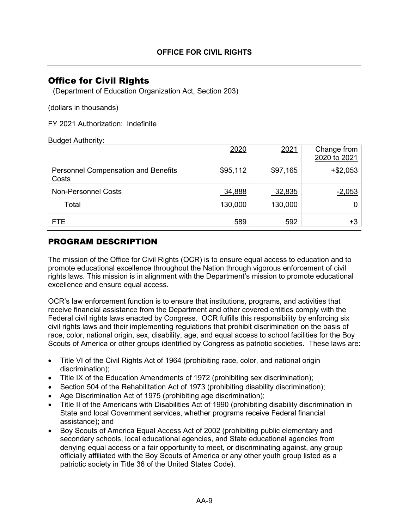# <span id="page-10-0"></span>Office for Civil Rights

(Department of Education Organization Act, Section 203)

(dollars in thousands)

FY 2021 Authorization: Indefinite

Budget Authority:

|                                                     | 2020     | 2021     | Change from<br>2020 to 2021 |
|-----------------------------------------------------|----------|----------|-----------------------------|
| <b>Personnel Compensation and Benefits</b><br>Costs | \$95,112 | \$97,165 | $+ $2,053$                  |
| <b>Non-Personnel Costs</b>                          | 34,888   | 32,835   | $-2,053$                    |
| Total                                               | 130,000  | 130,000  |                             |
| <b>FTE</b>                                          | 589      | 592      | +3                          |

## PROGRAM DESCRIPTION

The mission of the Office for Civil Rights (OCR) is to ensure equal access to education and to promote educational excellence throughout the Nation through vigorous enforcement of civil rights laws. This mission is in alignment with the Department's mission to promote educational excellence and ensure equal access.

OCR's law enforcement function is to ensure that institutions, programs, and activities that receive financial assistance from the Department and other covered entities comply with the Federal civil rights laws enacted by Congress. OCR fulfills this responsibility by enforcing six civil rights laws and their implementing regulations that prohibit discrimination on the basis of race, color, national origin, sex, disability, age, and equal access to school facilities for the Boy Scouts of America or other groups identified by Congress as patriotic societies. These laws are:

- Title VI of the Civil Rights Act of 1964 (prohibiting race, color, and national origin discrimination);
- Title IX of the Education Amendments of 1972 (prohibiting sex discrimination);
- Section 504 of the Rehabilitation Act of 1973 (prohibiting disability discrimination);
- Age Discrimination Act of 1975 (prohibiting age discrimination);
- Title II of the Americans with Disabilities Act of 1990 (prohibiting disability discrimination in State and local Government services, whether programs receive Federal financial assistance); and
- Boy Scouts of America Equal Access Act of 2002 (prohibiting public elementary and secondary schools, local educational agencies, and State educational agencies from denying equal access or a fair opportunity to meet, or discriminating against, any group officially affiliated with the Boy Scouts of America or any other youth group listed as a patriotic society in Title 36 of the United States Code).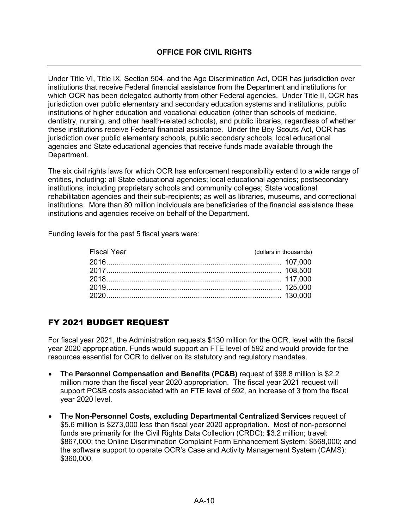Under Title VI, Title IX, Section 504, and the Age Discrimination Act, OCR has jurisdiction over institutions that receive Federal financial assistance from the Department and institutions for which OCR has been delegated authority from other Federal agencies. Under Title II, OCR has jurisdiction over public elementary and secondary education systems and institutions, public institutions of higher education and vocational education (other than schools of medicine, dentistry, nursing, and other health-related schools), and public libraries, regardless of whether these institutions receive Federal financial assistance. Under the Boy Scouts Act, OCR has jurisdiction over public elementary schools, public secondary schools, local educational agencies and State educational agencies that receive funds made available through the Department.

The six civil rights laws for which OCR has enforcement responsibility extend to a wide range of entities, including: all State educational agencies; local educational agencies; postsecondary institutions, including proprietary schools and community colleges; State vocational rehabilitation agencies and their sub-recipients; as well as libraries, museums, and correctional institutions. More than 80 million individuals are beneficiaries of the financial assistance these institutions and agencies receive on behalf of the Department.

Funding levels for the past 5 fiscal years were:

| <b>Fiscal Year</b> | (dollars in thousands) |
|--------------------|------------------------|
|                    |                        |
|                    |                        |
|                    |                        |
|                    |                        |
|                    |                        |

# FY 2021 BUDGET REQUEST

For fiscal year 2021, the Administration requests \$130 million for the OCR, level with the fiscal year 2020 appropriation. Funds would support an FTE level of 592 and would provide for the resources essential for OCR to deliver on its statutory and regulatory mandates.

- The **Personnel Compensation and Benefits (PC&B)** request of \$98.8 million is \$2.2 million more than the fiscal year 2020 appropriation. The fiscal year 2021 request will support PC&B costs associated with an FTE level of 592, an increase of 3 from the fiscal year 2020 level.
- The **Non-Personnel Costs, excluding Departmental Centralized Services** request of \$5.6 million is \$273,000 less than fiscal year 2020 appropriation. Most of non-personnel funds are primarily for the Civil Rights Data Collection (CRDC): \$3.2 million; travel: \$867,000; the Online Discrimination Complaint Form Enhancement System: \$568,000; and the software support to operate OCR's Case and Activity Management System (CAMS): \$360,000.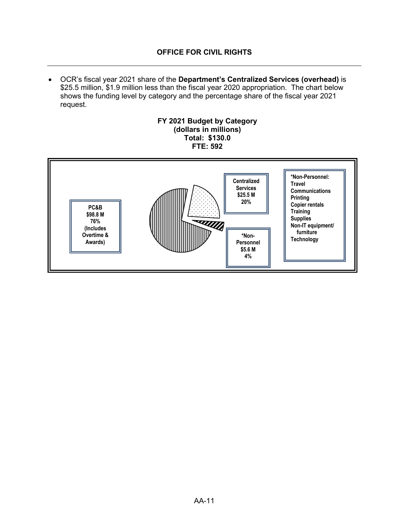• OCR's fiscal year 2021 share of the **Department's Centralized Services (overhead)** is \$25.5 million, \$1.9 million less than the fiscal year 2020 appropriation. The chart below shows the funding level by category and the percentage share of the fiscal year 2021 request.

#### **FY 2021 Budget by Category (dollars in millions) Total: \$130.0 FTE: 592**

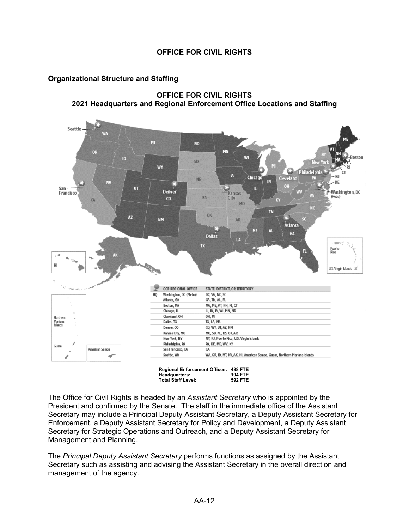## **Organizational Structure and Staffing**



**OFFICE FOR CIVIL RIGHTS 2021 Headquarters and Regional Enforcement Office Locations and Staffing**

The Office for Civil Rights is headed by an *Assistant Secretary* who is appointed by the President and confirmed by the Senate. The staff in the immediate office of the Assistant Secretary may include a Principal Deputy Assistant Secretary, a Deputy Assistant Secretary for Enforcement, a Deputy Assistant Secretary for Policy and Development, a Deputy Assistant Secretary for Strategic Operations and Outreach, and a Deputy Assistant Secretary for Management and Planning.

The *Principal Deputy Assistant Secretary* performs functions as assigned by the Assistant Secretary such as assisting and advising the Assistant Secretary in the overall direction and management of the agency.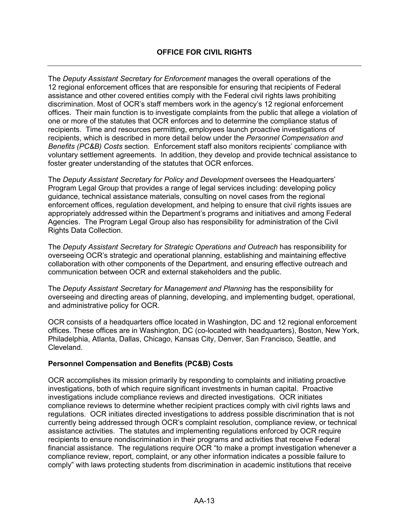The *Deputy Assistant Secretary for Enforcement* manages the overall operations of the 12 regional enforcement offices that are responsible for ensuring that recipients of Federal assistance and other covered entities comply with the Federal civil rights laws prohibiting discrimination. Most of OCR's staff members work in the agency's 12 regional enforcement offices. Their main function is to investigate complaints from the public that allege a violation of one or more of the statutes that OCR enforces and to determine the compliance status of recipients. Time and resources permitting, employees launch proactive investigations of recipients, which is described in more detail below under the *Personnel Compensation and Benefits (PC&B) Costs* section. Enforcement staff also monitors recipients' compliance with voluntary settlement agreements. In addition, they develop and provide technical assistance to foster greater understanding of the statutes that OCR enforces.

The *Deputy Assistant Secretary for Policy and Development* oversees the Headquarters' Program Legal Group that provides a range of legal services including: developing policy guidance, technical assistance materials, consulting on novel cases from the regional enforcement offices, regulation development, and helping to ensure that civil rights issues are appropriately addressed within the Department's programs and initiatives and among Federal Agencies. The Program Legal Group also has responsibility for administration of the Civil Rights Data Collection.

The *Deputy Assistant Secretary for Strategic Operations and Outreach* has responsibility for overseeing OCR's strategic and operational planning, establishing and maintaining effective collaboration with other components of the Department, and ensuring effective outreach and communication between OCR and external stakeholders and the public.

The *Deputy Assistant Secretary for Management and Planning* has the responsibility for overseeing and directing areas of planning, developing, and implementing budget, operational, and administrative policy for OCR.

OCR consists of a headquarters office located in Washington, DC and 12 regional enforcement offices. These offices are in Washington, DC (co-located with headquarters), Boston, New York, Philadelphia, Atlanta, Dallas, Chicago, Kansas City, Denver, San Francisco, Seattle, and Cleveland.

## **Personnel Compensation and Benefits (PC&B) Costs**

OCR accomplishes its mission primarily by responding to complaints and initiating proactive investigations, both of which require significant investments in human capital. Proactive investigations include compliance reviews and directed investigations. OCR initiates compliance reviews to determine whether recipient practices comply with civil rights laws and regulations. OCR initiates directed investigations to address possible discrimination that is not currently being addressed through OCR's complaint resolution, compliance review, or technical assistance activities. The statutes and implementing regulations enforced by OCR require recipients to ensure nondiscrimination in their programs and activities that receive Federal financial assistance. The regulations require OCR "to make a prompt investigation whenever a compliance review, report, complaint, or any other information indicates a possible failure to comply" with laws protecting students from discrimination in academic institutions that receive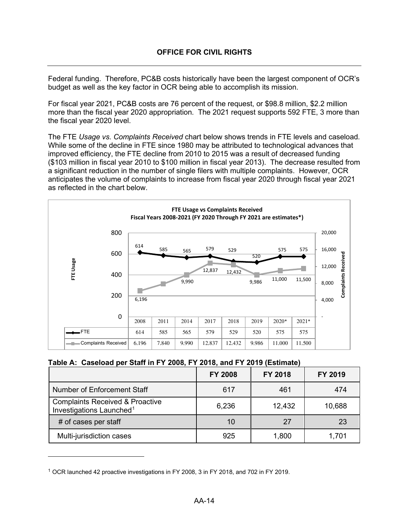Federal funding. Therefore, PC&B costs historically have been the largest component of OCR's budget as well as the key factor in OCR being able to accomplish its mission.

For fiscal year 2021, PC&B costs are 76 percent of the request, or \$98.8 million, \$2.2 million more than the fiscal year 2020 appropriation. The 2021 request supports 592 FTE, 3 more than the fiscal year 2020 level.

The FTE *Usage vs. Complaints Received* chart below shows trends in FTE levels and caseload. While some of the decline in FTE since 1980 may be attributed to technological advances that improved efficiency, the FTE decline from 2010 to 2015 was a result of decreased funding (\$103 million in fiscal year 2010 to \$100 million in fiscal year 2013). The decrease resulted from a significant reduction in the number of single filers with multiple complaints. However, OCR anticipates the volume of complaints to increase from fiscal year 2020 through fiscal year 2021 as reflected in the chart below.



#### **Table A: Caseload per Staff in FY 2008, FY 2018, and FY 2019 (Estimate)**

|                                                                                    | <b>FY 2008</b> | FY 2018 | FY 2019 |
|------------------------------------------------------------------------------------|----------------|---------|---------|
| Number of Enforcement Staff                                                        | 617            | 461     | 474     |
| <b>Complaints Received &amp; Proactive</b><br>Investigations Launched <sup>1</sup> | 6,236          | 12,432  | 10,688  |
| # of cases per staff                                                               | 10             | 27      | 23      |
| Multi-jurisdiction cases                                                           | 925            | 1,800   | 1,701   |

<span id="page-15-0"></span><sup>1</sup> OCR launched 42 proactive investigations in FY 2008, 3 in FY 2018, and 702 in FY 2019.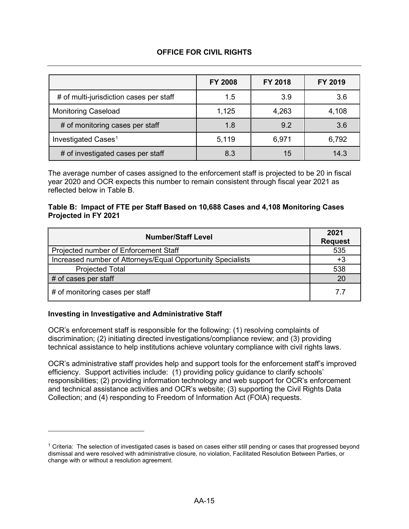|                                         | <b>FY 2008</b> | FY 2018 | FY 2019 |
|-----------------------------------------|----------------|---------|---------|
| # of multi-jurisdiction cases per staff | 1.5            | 3.9     | 3.6     |
| <b>Monitoring Caseload</b>              | 1,125          | 4,263   | 4,108   |
| # of monitoring cases per staff         | 1.8            | 9.2     | 3.6     |
| Investigated Cases <sup>1</sup>         | 5,119          | 6,971   | 6,792   |
| # of investigated cases per staff       | 8.3            | 15      | 14.3    |

The average number of cases assigned to the enforcement staff is projected to be 20 in fiscal year 2020 and OCR expects this number to remain consistent through fiscal year 2021 as reflected below in Table B.

#### **Table B: Impact of FTE per Staff Based on 10,688 Cases and 4,108 Monitoring Cases Projected in FY 2021**

| <b>Number/Staff Level</b>                                   | 2021<br><b>Request</b> |
|-------------------------------------------------------------|------------------------|
| Projected number of Enforcement Staff                       | 535                    |
| Increased number of Attorneys/Equal Opportunity Specialists | $+3$                   |
| <b>Projected Total</b>                                      | 538                    |
| # of cases per staff                                        | 20                     |
| # of monitoring cases per staff                             | 77                     |

#### **Investing in Investigative and Administrative Staff**

OCR's enforcement staff is responsible for the following: (1) resolving complaints of discrimination; (2) initiating directed investigations/compliance review; and (3) providing technical assistance to help institutions achieve voluntary compliance with civil rights laws.

OCR's administrative staff provides help and support tools for the enforcement staff's improved efficiency. Support activities include: (1) providing policy guidance to clarify schools' responsibilities; (2) providing information technology and web support for OCR's enforcement and technical assistance activities and OCR's website; (3) supporting the Civil Rights Data Collection; and (4) responding to Freedom of Information Act (FOIA) requests.

<span id="page-16-0"></span> $1$  Criteria: The selection of investigated cases is based on cases either still pending or cases that progressed beyond dismissal and were resolved with administrative closure, no violation, Facilitated Resolution Between Parties, or change with or without a resolution agreement.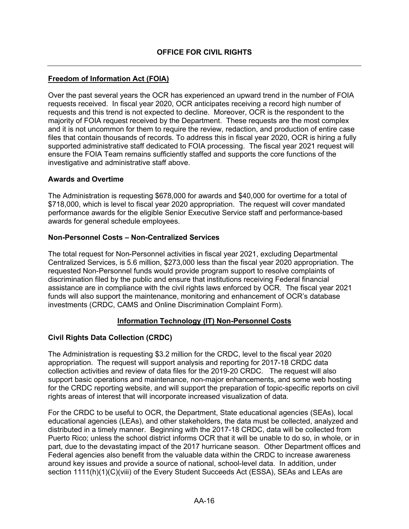## **Freedom of Information Act (FOIA)**

Over the past several years the OCR has experienced an upward trend in the number of FOIA requests received. In fiscal year 2020, OCR anticipates receiving a record high number of requests and this trend is not expected to decline. Moreover, OCR is the respondent to the majority of FOIA request received by the Department. These requests are the most complex and it is not uncommon for them to require the review, redaction, and production of entire case files that contain thousands of records. To address this in fiscal year 2020, OCR is hiring a fully supported administrative staff dedicated to FOIA processing. The fiscal year 2021 request will ensure the FOIA Team remains sufficiently staffed and supports the core functions of the investigative and administrative staff above.

#### **Awards and Overtime**

The Administration is requesting \$678,000 for awards and \$40,000 for overtime for a total of \$718,000, which is level to fiscal year 2020 appropriation. The request will cover mandated performance awards for the eligible Senior Executive Service staff and performance-based awards for general schedule employees.

#### **Non-Personnel Costs – Non-Centralized Services**

The total request for Non-Personnel activities in fiscal year 2021, excluding Departmental Centralized Services, is 5.6 million, \$273,000 less than the fiscal year 2020 appropriation. The requested Non-Personnel funds would provide program support to resolve complaints of discrimination filed by the public and ensure that institutions receiving Federal financial assistance are in compliance with the civil rights laws enforced by OCR. The fiscal year 2021 funds will also support the maintenance, monitoring and enhancement of OCR's database investments (CRDC, CAMS and Online Discrimination Complaint Form).

#### **Information Technology (IT) Non-Personnel Costs**

#### **Civil Rights Data Collection (CRDC)**

The Administration is requesting \$3.2 million for the CRDC, level to the fiscal year 2020 appropriation. The request will support analysis and reporting for 2017-18 CRDC data collection activities and review of data files for the 2019-20 CRDC. The request will also support basic operations and maintenance, non-major enhancements, and some web hosting for the CRDC reporting website, and will support the preparation of topic-specific reports on civil rights areas of interest that will incorporate increased visualization of data.

For the CRDC to be useful to OCR, the Department, State educational agencies (SEAs), local educational agencies (LEAs), and other stakeholders, the data must be collected, analyzed and distributed in a timely manner. Beginning with the 2017-18 CRDC, data will be collected from Puerto Rico; unless the school district informs OCR that it will be unable to do so, in whole, or in part, due to the devastating impact of the 2017 hurricane season. Other Department offices and Federal agencies also benefit from the valuable data within the CRDC to increase awareness around key issues and provide a source of national, school-level data. In addition, under section 1111(h)(1)(C)(viii) of the Every Student Succeeds Act (ESSA), SEAs and LEAs are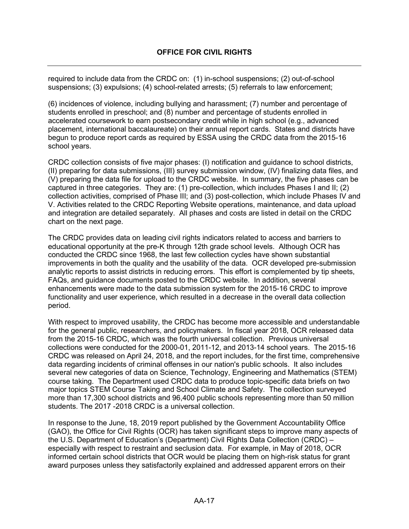required to include data from the CRDC on: (1) in-school suspensions; (2) out-of-school suspensions; (3) expulsions; (4) school-related arrests; (5) referrals to law enforcement;

(6) incidences of violence, including bullying and harassment; (7) number and percentage of students enrolled in preschool; and (8) number and percentage of students enrolled in accelerated coursework to earn postsecondary credit while in high school (e.g., advanced placement, international baccalaureate) on their annual report cards. States and districts have begun to produce report cards as required by ESSA using the CRDC data from the 2015-16 school years.

CRDC collection consists of five major phases: (I) notification and guidance to school districts, (II) preparing for data submissions, (III) survey submission window, (IV) finalizing data files, and (V) preparing the data file for upload to the CRDC website. In summary, the five phases can be captured in three categories. They are: (1) pre-collection, which includes Phases I and II; (2) collection activities, comprised of Phase III; and (3) post-collection, which include Phases IV and V. Activities related to the CRDC Reporting Website operations, maintenance, and data upload and integration are detailed separately. All phases and costs are listed in detail on the CRDC chart on the next page.

The CRDC provides data on leading civil rights indicators related to access and barriers to educational opportunity at the pre-K through 12th grade school levels. Although OCR has conducted the CRDC since 1968, the last few collection cycles have shown substantial improvements in both the quality and the usability of the data. OCR developed pre-submission analytic reports to assist districts in reducing errors. This effort is complemented by tip sheets, FAQs, and guidance documents posted to the CRDC website. In addition, several enhancements were made to the data submission system for the 2015-16 CRDC to improve functionality and user experience, which resulted in a decrease in the overall data collection period.

With respect to improved usability, the CRDC has become more accessible and understandable for the general public, researchers, and policymakers. In fiscal year 2018, OCR released data from the 2015-16 CRDC, which was the fourth universal collection. Previous universal collections were conducted for the 2000-01, 2011-12, and 2013-14 school years. The 2015-16 CRDC was released on April 24, 2018, and the report includes, for the first time, comprehensive data regarding incidents of criminal offenses in our nation's public schools. It also includes several new categories of data on Science, Technology, Engineering and Mathematics (STEM) course taking. The Department used CRDC data to produce topic-specific data briefs on two major topics STEM Course Taking and School Climate and Safety. The collection surveyed more than 17,300 school districts and 96,400 public schools representing more than 50 million students. The 2017 -2018 CRDC is a universal collection.

In response to the June, 18, 2019 report published by the Government Accountability Office (GAO), the Office for Civil Rights (OCR) has taken significant steps to improve many aspects of the U.S. Department of Education's (Department) Civil Rights Data Collection (CRDC) – especially with respect to restraint and seclusion data. For example, in May of 2018, OCR informed certain school districts that OCR would be placing them on high-risk status for grant award purposes unless they satisfactorily explained and addressed apparent errors on their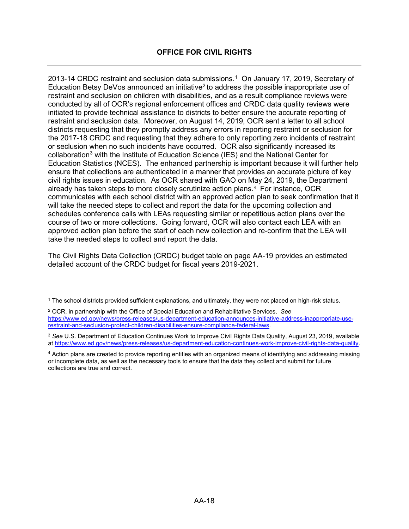20[1](#page-19-0)3-14 CRDC restraint and seclusion data submissions.<sup>1</sup> On January 17, 2019, Secretary of Education Betsy DeVos announced an initiative<sup>[2](#page-19-1)</sup> to address the possible inappropriate use of restraint and seclusion on children with disabilities, and as a result compliance reviews were conducted by all of OCR's regional enforcement offices and CRDC data quality reviews were initiated to provide technical assistance to districts to better ensure the accurate reporting of restraint and seclusion data. Moreover, on August 14, 2019, OCR sent a letter to all school districts requesting that they promptly address any errors in reporting restraint or seclusion for the 2017-18 CRDC and requesting that they adhere to only reporting zero incidents of restraint or seclusion when no such incidents have occurred. OCR also significantly increased its collaboration<sup>[3](#page-19-2)</sup> with the Institute of Education Science (IES) and the National Center for Education Statistics (NCES). The enhanced partnership is important because it will further help ensure that collections are authenticated in a manner that provides an accurate picture of key civil rights issues in education. As OCR shared with GAO on May 24, 2019, the Department already has taken steps to more closely scrutinize action plans.[4](#page-19-3) For instance, OCR communicates with each school district with an approved action plan to seek confirmation that it will take the needed steps to collect and report the data for the upcoming collection and schedules conference calls with LEAs requesting similar or repetitious action plans over the course of two or more collections. Going forward, OCR will also contact each LEA with an approved action plan before the start of each new collection and re-confirm that the LEA will take the needed steps to collect and report the data.

The Civil Rights Data Collection (CRDC) budget table on page AA-19 provides an estimated detailed account of the CRDC budget for fiscal years 2019-2021.

<span id="page-19-0"></span><sup>1</sup> The school districts provided sufficient explanations, and ultimately, they were not placed on high-risk status.

<span id="page-19-1"></span><sup>2</sup> OCR, in partnership with the Office of Special Education and Rehabilitative Services. *See*  [https://www.ed.gov/news/press-releases/us-department-education-announces-initiative-address-inappropriate-use](https://www.ed.gov/news/press-releases/us-department-education-announces-initiative-address-inappropriate-use-restraint-and-seclusion-protect-children-disabilities-ensure-compliance-federal-laws)[restraint-and-seclusion-protect-children-disabilities-ensure-compliance-federal-laws.](https://www.ed.gov/news/press-releases/us-department-education-announces-initiative-address-inappropriate-use-restraint-and-seclusion-protect-children-disabilities-ensure-compliance-federal-laws)

<span id="page-19-2"></span><sup>3</sup> *See* U.S. Department of Education Continues Work to Improve Civil Rights Data Quality, August 23, 2019, available at [https://www.ed.gov/news/press-releases/us-department-education-continues-work-improve-civil-rights-data-quality.](https://www.ed.gov/news/press-releases/us-department-education-continues-work-improve-civil-rights-data-quality)

<span id="page-19-3"></span><sup>4</sup> Action plans are created to provide reporting entities with an organized means of identifying and addressing missing or incomplete data, as well as the necessary tools to ensure that the data they collect and submit for future collections are true and correct.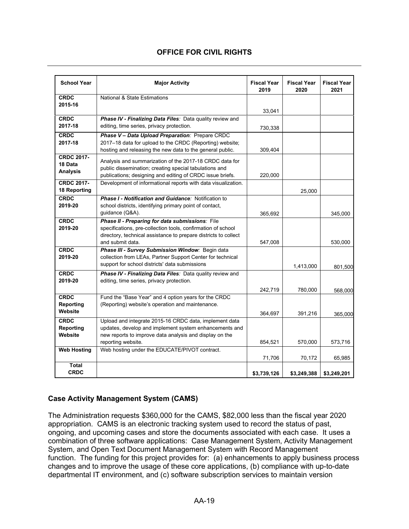| <b>School Year</b>       | <b>Major Activity</b>                                                                                            | <b>Fiscal Year</b><br>2019 | <b>Fiscal Year</b><br>2020 | <b>Fiscal Year</b><br>2021 |
|--------------------------|------------------------------------------------------------------------------------------------------------------|----------------------------|----------------------------|----------------------------|
| <b>CRDC</b>              | <b>National &amp; State Estimations</b>                                                                          |                            |                            |                            |
| 2015-16                  |                                                                                                                  | 33,041                     |                            |                            |
| <b>CRDC</b>              | Phase IV - Finalizing Data Files: Data quality review and                                                        |                            |                            |                            |
| 2017-18                  | editing, time series, privacy protection.                                                                        | 730,338                    |                            |                            |
| <b>CRDC</b>              | Phase V - Data Upload Preparation: Prepare CRDC                                                                  |                            |                            |                            |
| 2017-18                  | 2017-18 data for upload to the CRDC (Reporting) website;                                                         |                            |                            |                            |
|                          | hosting and releasing the new data to the general public.                                                        | 309,404                    |                            |                            |
| <b>CRDC 2017-</b>        | Analysis and summarization of the 2017-18 CRDC data for                                                          |                            |                            |                            |
| 18 Data                  | public dissemination; creating special tabulations and                                                           |                            |                            |                            |
| <b>Analysis</b>          | publications; designing and editing of CRDC issue briefs.                                                        | 220,000                    |                            |                            |
| <b>CRDC 2017-</b>        | Development of informational reports with data visualization.                                                    |                            |                            |                            |
| 18 Reporting             |                                                                                                                  |                            | 25,000                     |                            |
| <b>CRDC</b>              | <b>Phase I - Notification and Guidance: Notification to</b>                                                      |                            |                            |                            |
| 2019-20                  | school districts, identifying primary point of contact,                                                          |                            |                            |                            |
|                          | guidance (Q&A).                                                                                                  | 365,692                    |                            | 345,000                    |
| <b>CRDC</b>              | Phase II - Preparing for data submissions: File                                                                  |                            |                            |                            |
| 2019-20                  | specifications, pre-collection tools, confirmation of school                                                     |                            |                            |                            |
|                          | directory, technical assistance to prepare districts to collect                                                  |                            |                            |                            |
|                          | and submit data.                                                                                                 | 547,008                    |                            | 530,000                    |
| <b>CRDC</b><br>2019-20   | Phase III - Survey Submission Window: Begin data<br>collection from LEAs, Partner Support Center for technical   |                            |                            |                            |
|                          | support for school districts' data submissions                                                                   |                            |                            |                            |
|                          |                                                                                                                  |                            | 1,413,000                  | 801,500                    |
| <b>CRDC</b><br>2019-20   | Phase IV - Finalizing Data Files: Data quality review and<br>editing, time series, privacy protection.           |                            |                            |                            |
|                          |                                                                                                                  |                            |                            |                            |
|                          |                                                                                                                  | 242,719                    | 780,000                    | 568.000                    |
| <b>CRDC</b><br>Reporting | Fund the "Base Year" and 4 option years for the CRDC<br>(Reporting) website's operation and maintenance.         |                            |                            |                            |
| Website                  |                                                                                                                  |                            |                            |                            |
|                          |                                                                                                                  | 364,697                    | 391,216                    | 365,000                    |
| <b>CRDC</b><br>Reporting | Upload and integrate 2015-16 CRDC data, implement data<br>updates, develop and implement system enhancements and |                            |                            |                            |
| Website                  | new reports to improve data analysis and display on the                                                          |                            |                            |                            |
|                          | reporting website.                                                                                               | 854,521                    | 570,000                    | 573,716                    |
| <b>Web Hosting</b>       | Web hosting under the EDUCATE/PIVOT contract.                                                                    |                            |                            |                            |
|                          |                                                                                                                  | 71,706                     | 70,172                     | 65,985                     |
| <b>Total</b>             |                                                                                                                  |                            |                            |                            |
| <b>CRDC</b>              |                                                                                                                  | \$3,739,126                | \$3,249,388                | \$3,249,201                |

#### **Case Activity Management System (CAMS)**

The Administration requests \$360,000 for the CAMS, \$82,000 less than the fiscal year 2020 appropriation. CAMS is an electronic tracking system used to record the status of past, ongoing, and upcoming cases and store the documents associated with each case. It uses a combination of three software applications: Case Management System, Activity Management System, and Open Text Document Management System with Record Management function. The funding for this project provides for: (a) enhancements to apply business process changes and to improve the usage of these core applications, (b) compliance with up-to-date departmental IT environment, and (c) software subscription services to maintain version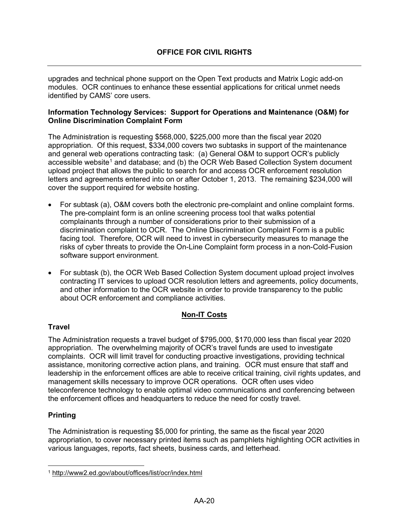upgrades and technical phone support on the Open Text products and Matrix Logic add-on modules. OCR continues to enhance these essential applications for critical unmet needs identified by CAMS' core users.

#### **Information Technology Services: Support for Operations and Maintenance (O&M) for Online Discrimination Complaint Form**

The Administration is requesting \$568,000, \$225,000 more than the fiscal year 2020 appropriation. Of this request, \$334,000 covers two subtasks in support of the maintenance and general web operations contracting task: (a) General O&M to support OCR's publicly accessible website<sup>[1](#page-21-0)</sup> and database; and (b) the OCR Web Based Collection System document upload project that allows the public to search for and access OCR enforcement resolution letters and agreements entered into on or after October 1, 2013. The remaining \$234,000 will cover the support required for website hosting.

- For subtask (a), O&M covers both the electronic pre-complaint and online complaint forms. The pre-complaint form is an online screening process tool that walks potential complainants through a number of considerations prior to their submission of a discrimination complaint to OCR. The Online Discrimination Complaint Form is a public facing tool. Therefore, OCR will need to invest in cybersecurity measures to manage the risks of cyber threats to provide the On-Line Complaint form process in a non-Cold-Fusion software support environment.
- For subtask (b), the OCR Web Based Collection System document upload project involves contracting IT services to upload OCR resolution letters and agreements, policy documents, and other information to the OCR website in order to provide transparency to the public about OCR enforcement and compliance activities.

## **Non-IT Costs**

## **Travel**

The Administration requests a travel budget of \$795,000, \$170,000 less than fiscal year 2020 appropriation. The overwhelming majority of OCR's travel funds are used to investigate complaints. OCR will limit travel for conducting proactive investigations, providing technical assistance, monitoring corrective action plans, and training. OCR must ensure that staff and leadership in the enforcement offices are able to receive critical training, civil rights updates, and management skills necessary to improve OCR operations. OCR often uses video teleconference technology to enable optimal video communications and conferencing between the enforcement offices and headquarters to reduce the need for costly travel.

## **Printing**

The Administration is requesting \$5,000 for printing, the same as the fiscal year 2020 appropriation, to cover necessary printed items such as pamphlets highlighting OCR activities in various languages, reports, fact sheets, business cards, and letterhead.

<span id="page-21-0"></span><sup>1</sup> <http://www2.ed.gov/about/offices/list/ocr/index.html>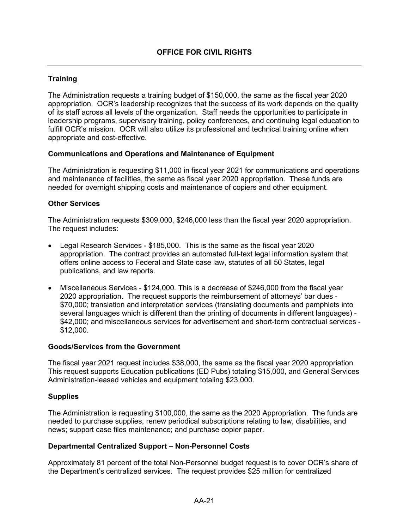## **Training**

The Administration requests a training budget of \$150,000, the same as the fiscal year 2020 appropriation. OCR's leadership recognizes that the success of its work depends on the quality of its staff across all levels of the organization. Staff needs the opportunities to participate in leadership programs, supervisory training, policy conferences, and continuing legal education to fulfill OCR's mission. OCR will also utilize its professional and technical training online when appropriate and cost-effective.

### **Communications and Operations and Maintenance of Equipment**

The Administration is requesting \$11,000 in fiscal year 2021 for communications and operations and maintenance of facilities, the same as fiscal year 2020 appropriation. These funds are needed for overnight shipping costs and maintenance of copiers and other equipment.

### **Other Services**

The Administration requests \$309,000, \$246,000 less than the fiscal year 2020 appropriation. The request includes:

- Legal Research Services \$185,000. This is the same as the fiscal year 2020 appropriation. The contract provides an automated full-text legal information system that offers online access to Federal and State case law, statutes of all 50 States, legal publications, and law reports.
- Miscellaneous Services \$124,000. This is a decrease of \$246,000 from the fiscal year 2020 appropriation. The request supports the reimbursement of attorneys' bar dues - \$70,000; translation and interpretation services (translating documents and pamphlets into several languages which is different than the printing of documents in different languages) - \$42,000; and miscellaneous services for advertisement and short-term contractual services -\$12,000.

#### **Goods/Services from the Government**

The fiscal year 2021 request includes \$38,000, the same as the fiscal year 2020 appropriation. This request supports Education publications (ED Pubs) totaling \$15,000, and General Services Administration-leased vehicles and equipment totaling \$23,000.

#### **Supplies**

The Administration is requesting \$100,000, the same as the 2020 Appropriation. The funds are needed to purchase supplies, renew periodical subscriptions relating to law, disabilities, and news; support case files maintenance; and purchase copier paper.

#### **Departmental Centralized Support – Non-Personnel Costs**

Approximately 81 percent of the total Non-Personnel budget request is to cover OCR's share of the Department's centralized services. The request provides \$25 million for centralized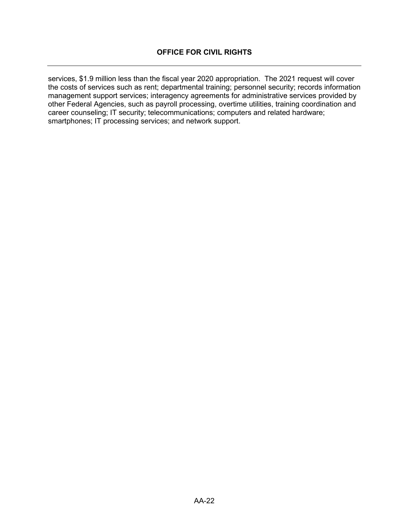services, \$1.9 million less than the fiscal year 2020 appropriation. The 2021 request will cover the costs of services such as rent; departmental training; personnel security; records information management support services; interagency agreements for administrative services provided by other Federal Agencies, such as payroll processing, overtime utilities, training coordination and career counseling; IT security; telecommunications; computers and related hardware; smartphones; IT processing services; and network support.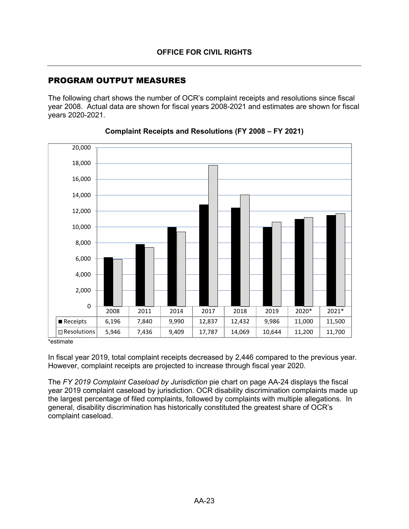# PROGRAM OUTPUT MEASURES

The following chart shows the number of OCR's complaint receipts and resolutions since fiscal year 2008. Actual data are shown for fiscal years 2008-2021 and estimates are shown for fiscal years 2020-2021.



**Complaint Receipts and Resolutions (FY 2008 – FY 2021)** 

\*estimate

In fiscal year 2019, total complaint receipts decreased by 2,446 compared to the previous year. However, complaint receipts are projected to increase through fiscal year 2020.

The *FY 2019 Complaint Caseload by Jurisdiction* pie chart on page AA-24 displays the fiscal year 2019 complaint caseload by jurisdiction. OCR disability discrimination complaints made up the largest percentage of filed complaints, followed by complaints with multiple allegations. In general, disability discrimination has historically constituted the greatest share of OCR's complaint caseload.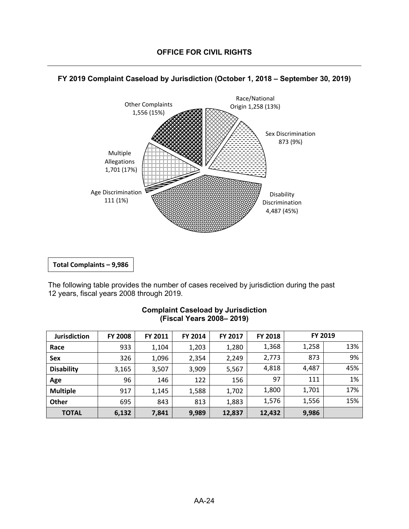

#### **FY 2019 Complaint Caseload by Jurisdiction (October 1, 2018 – September 30, 2019)**

**Total Complaints – 9,986**

The following table provides the number of cases received by jurisdiction during the past 12 years, fiscal years 2008 through 2019.

| <b>Jurisdiction</b> | <b>FY 2008</b> | FY 2011 | FY 2014 | FY 2017 | FY 2018 |       | FY 2019 |
|---------------------|----------------|---------|---------|---------|---------|-------|---------|
| Race                | 933            | 1,104   | 1,203   | 1,280   | 1,368   | 1,258 | 13%     |
| <b>Sex</b>          | 326            | 1,096   | 2,354   | 2,249   | 2,773   | 873   | 9%      |
| <b>Disability</b>   | 3,165          | 3,507   | 3,909   | 5,567   | 4,818   | 4,487 | 45%     |
| Age                 | 96             | 146     | 122     | 156     | 97      | 111   | 1%      |
| <b>Multiple</b>     | 917            | 1,145   | 1,588   | 1,702   | 1,800   | 1,701 | 17%     |
| Other               | 695            | 843     | 813     | 1,883   | 1,576   | 1,556 | 15%     |
| <b>TOTAL</b>        | 6,132          | 7,841   | 9,989   | 12,837  | 12,432  | 9,986 |         |

#### **Complaint Caseload by Jurisdiction (Fiscal Years 2008– 2019)**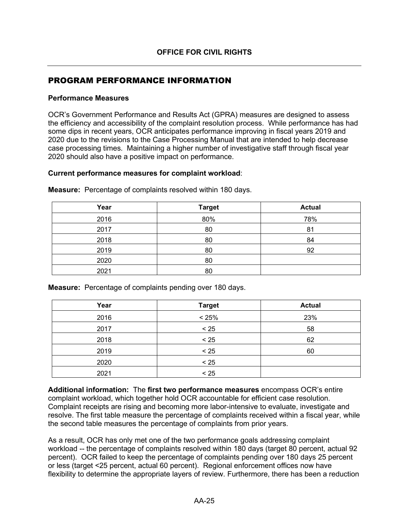# PROGRAM PERFORMANCE INFORMATION

#### **Performance Measures**

OCR's Government Performance and Results Act (GPRA) measures are designed to assess the efficiency and accessibility of the complaint resolution process. While performance has had some dips in recent years, OCR anticipates performance improving in fiscal years 2019 and 2020 due to the revisions to the Case Processing Manual that are intended to help decrease case processing times. Maintaining a higher number of investigative staff through fiscal year 2020 should also have a positive impact on performance.

### **Current performance measures for complaint workload**:

| Year | <b>Target</b> | <b>Actual</b> |
|------|---------------|---------------|
| 2016 | 80%           | 78%           |
| 2017 | 80            | 81            |
| 2018 | 80            | 84            |
| 2019 | 80            | 92            |
| 2020 | 80            |               |
| 2021 | 80            |               |

**Measure:** Percentage of complaints resolved within 180 days.

**Measure:** Percentage of complaints pending over 180 days.

| Year | <b>Target</b> | <b>Actual</b> |
|------|---------------|---------------|
| 2016 | < 25%         | 23%           |
| 2017 | < 25          | 58            |
| 2018 | < 25          | 62            |
| 2019 | < 25          | 60            |
| 2020 | < 25          |               |
| 2021 | < 25          |               |

**Additional information:** The **first two performance measures** encompass OCR's entire complaint workload, which together hold OCR accountable for efficient case resolution. Complaint receipts are rising and becoming more labor-intensive to evaluate, investigate and resolve. The first table measure the percentage of complaints received within a fiscal year, while the second table measures the percentage of complaints from prior years.

As a result, OCR has only met one of the two performance goals addressing complaint workload -- the percentage of complaints resolved within 180 days (target 80 percent, actual 92 percent). OCR failed to keep the percentage of complaints pending over 180 days 25 percent or less (target <25 percent, actual 60 percent). Regional enforcement offices now have flexibility to determine the appropriate layers of review. Furthermore, there has been a reduction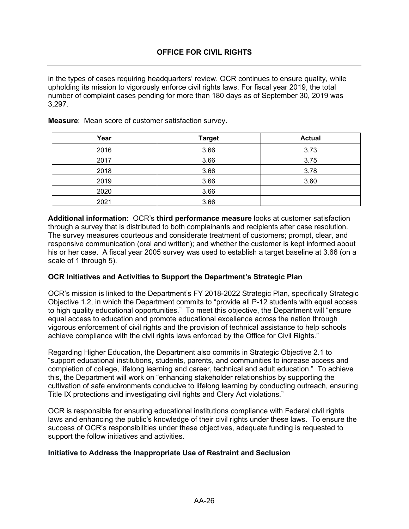in the types of cases requiring headquarters' review. OCR continues to ensure quality, while upholding its mission to vigorously enforce civil rights laws. For fiscal year 2019, the total number of complaint cases pending for more than 180 days as of September 30, 2019 was 3,297.

| Year | <b>Target</b> | <b>Actual</b> |
|------|---------------|---------------|
| 2016 | 3.66          | 3.73          |
| 2017 | 3.66          | 3.75          |
| 2018 | 3.66          | 3.78          |
| 2019 | 3.66          | 3.60          |
| 2020 | 3.66          |               |
| 2021 | 3.66          |               |

**Measure**: Mean score of customer satisfaction survey.

**Additional information:** OCR's **third performance measure** looks at customer satisfaction through a survey that is distributed to both complainants and recipients after case resolution. The survey measures courteous and considerate treatment of customers; prompt, clear, and responsive communication (oral and written); and whether the customer is kept informed about his or her case. A fiscal year 2005 survey was used to establish a target baseline at 3.66 (on a scale of 1 through 5).

#### **OCR Initiatives and Activities to Support the Department's Strategic Plan**

OCR's mission is linked to the Department's FY 2018-2022 Strategic Plan, specifically Strategic Objective 1.2, in which the Department commits to "provide all P-12 students with equal access to high quality educational opportunities." To meet this objective, the Department will "ensure equal access to education and promote educational excellence across the nation through vigorous enforcement of civil rights and the provision of technical assistance to help schools achieve compliance with the civil rights laws enforced by the Office for Civil Rights."

Regarding Higher Education, the Department also commits in Strategic Objective 2.1 to "support educational institutions, students, parents, and communities to increase access and completion of college, lifelong learning and career, technical and adult education." To achieve this, the Department will work on "enhancing stakeholder relationships by supporting the cultivation of safe environments conducive to lifelong learning by conducting outreach, ensuring Title IX protections and investigating civil rights and Clery Act violations."

OCR is responsible for ensuring educational institutions compliance with Federal civil rights laws and enhancing the public's knowledge of their civil rights under these laws. To ensure the success of OCR's responsibilities under these objectives, adequate funding is requested to support the follow initiatives and activities.

#### **Initiative to Address the Inappropriate Use of Restraint and Seclusion**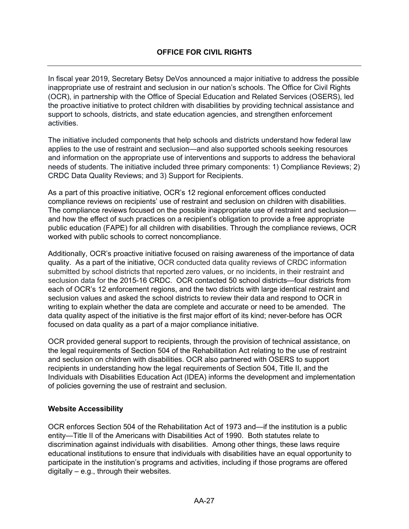In fiscal year 2019, Secretary Betsy DeVos announced a major initiative to address the possible inappropriate use of restraint and seclusion in our nation's schools. The Office for Civil Rights (OCR), in partnership with the Office of Special Education and Related Services (OSERS), led the proactive initiative to protect children with disabilities by providing technical assistance and support to schools, districts, and state education agencies, and strengthen enforcement activities.

The initiative included components that help schools and districts understand how federal law applies to the use of restraint and seclusion—and also supported schools seeking resources and information on the appropriate use of interventions and supports to address the behavioral needs of students. The initiative included three primary components: 1) Compliance Reviews; 2) CRDC Data Quality Reviews; and 3) Support for Recipients.

As a part of this proactive initiative, OCR's 12 regional enforcement offices conducted compliance reviews on recipients' use of restraint and seclusion on children with disabilities. The compliance reviews focused on the possible inappropriate use of restraint and seclusion and how the effect of such practices on a recipient's obligation to provide a free appropriate public education (FAPE) for all children with disabilities. Through the compliance reviews, OCR worked with public schools to correct noncompliance.

Additionally, OCR's proactive initiative focused on raising awareness of the importance of data quality. As a part of the initiative, OCR conducted data quality reviews of CRDC information submitted by school districts that reported zero values, or no incidents, in their restraint and seclusion data for the 2015-16 CRDC. OCR contacted 50 school districts—four districts from each of OCR's 12 enforcement regions, and the two districts with large identical restraint and seclusion values and asked the school districts to review their data and respond to OCR in writing to explain whether the data are complete and accurate or need to be amended. The data quality aspect of the initiative is the first major effort of its kind; never-before has OCR focused on data quality as a part of a major compliance initiative.

OCR provided general support to recipients, through the provision of technical assistance, on the legal requirements of Section 504 of the Rehabilitation Act relating to the use of restraint and seclusion on children with disabilities. OCR also partnered with OSERS to support recipients in understanding how the legal requirements of Section 504, Title II, and the Individuals with Disabilities Education Act (IDEA) informs the development and implementation of policies governing the use of restraint and seclusion.

## **Website Accessibility**

OCR enforces Section 504 of the Rehabilitation Act of 1973 and—if the institution is a public entity—Title II of the Americans with Disabilities Act of 1990. Both statutes relate to discrimination against individuals with disabilities. Among other things, these laws require educational institutions to ensure that individuals with disabilities have an equal opportunity to participate in the institution's programs and activities, including if those programs are offered digitally – e.g., through their websites.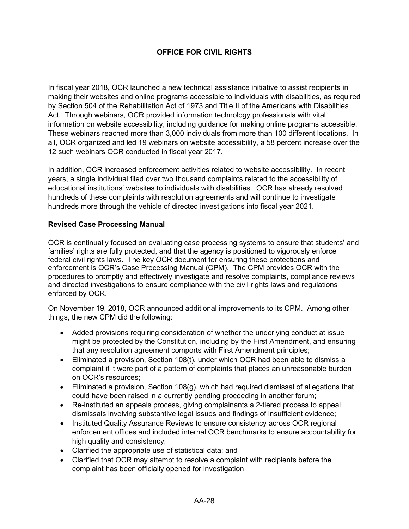In fiscal year 2018, OCR launched a new technical assistance initiative to assist recipients in making their websites and online programs accessible to individuals with disabilities, as required by Section 504 of the Rehabilitation Act of 1973 and Title II of the Americans with Disabilities Act. Through webinars, OCR provided information technology professionals with vital information on website accessibility, including guidance for making online programs accessible. These webinars reached more than 3,000 individuals from more than 100 different locations. In all, OCR organized and led 19 webinars on website accessibility, a 58 percent increase over the 12 such webinars OCR conducted in fiscal year 2017.

In addition, OCR increased enforcement activities related to website accessibility. In recent years, a single individual filed over two thousand complaints related to the accessibility of educational institutions' websites to individuals with disabilities. OCR has already resolved hundreds of these complaints with resolution agreements and will continue to investigate hundreds more through the vehicle of directed investigations into fiscal year 2021.

## **Revised Case Processing Manual**

OCR is continually focused on evaluating case processing systems to ensure that students' and families' rights are fully protected, and that the agency is positioned to vigorously enforce federal civil rights laws. The key OCR document for ensuring these protections and enforcement is OCR's Case Processing Manual (CPM). The CPM provides OCR with the procedures to promptly and effectively investigate and resolve complaints, compliance reviews and directed investigations to ensure compliance with the civil rights laws and regulations enforced by OCR.

On November 19, 2018, OCR announced additional improvements to its CPM. Among other things, the new CPM did the following:

- Added provisions requiring consideration of whether the underlying conduct at issue might be protected by the Constitution, including by the First Amendment, and ensuring that any resolution agreement comports with First Amendment principles;
- Eliminated a provision, Section 108(t), under which OCR had been able to dismiss a complaint if it were part of a pattern of complaints that places an unreasonable burden on OCR's resources;
- Eliminated a provision, Section 108(g), which had required dismissal of allegations that could have been raised in a currently pending proceeding in another forum;
- Re-instituted an appeals process, giving complainants a 2-tiered process to appeal dismissals involving substantive legal issues and findings of insufficient evidence;
- Instituted Quality Assurance Reviews to ensure consistency across OCR regional enforcement offices and included internal OCR benchmarks to ensure accountability for high quality and consistency;
- Clarified the appropriate use of statistical data; and
- Clarified that OCR may attempt to resolve a complaint with recipients before the complaint has been officially opened for investigation